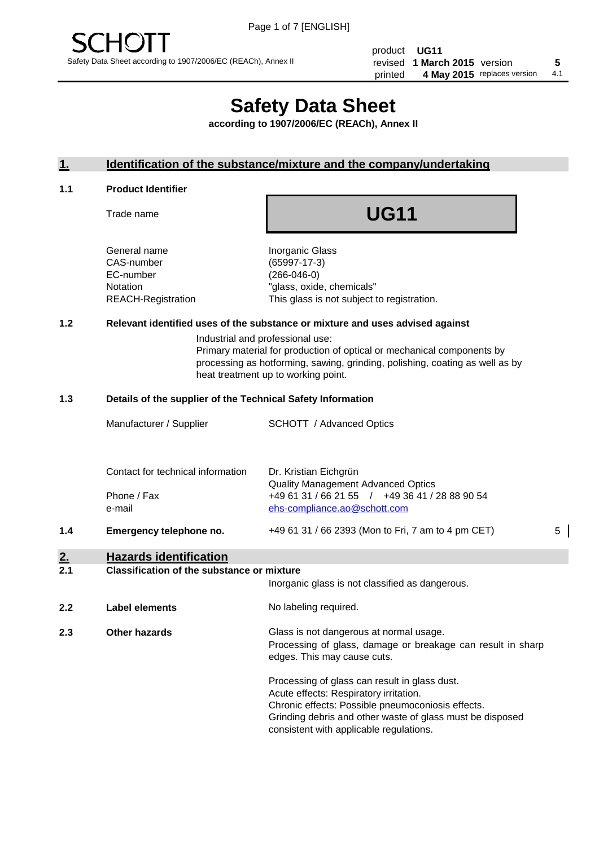# **Safety Data Sheet**

**according to 1907/2006/EC (REACh), Annex II**

## **1. Identification of the substance/mixture and the company/undertaking**

## **1.1 Product Identifier**

Trade name

## **UG11**

General name **Inorganic Glass** CAS-number (65997-17-3) EC-number (266-046-0)

Notation "glass, oxide, chemicals" REACH-Registration This glass is not subject to registration.

## **1.2 Relevant identified uses of the substance or mixture and uses advised against**

Industrial and professional use: Primary material for production of optical or mechanical components by processing as hotforming, sawing, grinding, polishing, coating as well as by

heat treatment up to working point.

#### **1.3 Details of the supplier of the Technical Safety Information**

|     | Manufacturer / Supplier           | <b>SCHOTT</b> / Advanced Optics                                                             |   |
|-----|-----------------------------------|---------------------------------------------------------------------------------------------|---|
|     | Contact for technical information | Dr. Kristian Eichgrün                                                                       |   |
|     | Phone / Fax                       | <b>Quality Management Advanced Optics</b><br>+49 61 31 / 66 21 55 / +49 36 41 / 28 88 90 54 |   |
|     | e-mail                            | ehs-compliance.ao@schott.com                                                                |   |
| 1.4 | Emergency telephone no.           | +49 61 31 / 66 2393 (Mon to Fri, 7 am to 4 pm CET)                                          | 5 |

## **2. Hazards identification**

## **2.1 Classification of the substance or mixture**

|     |                      | Inorganic glass is not classified as dangerous.                                                                                                                                                           |
|-----|----------------------|-----------------------------------------------------------------------------------------------------------------------------------------------------------------------------------------------------------|
| 2.2 | Label elements       | No labeling required.                                                                                                                                                                                     |
| 2.3 | <b>Other hazards</b> | Glass is not dangerous at normal usage.<br>Processing of glass, damage or breakage can result in sharp<br>edges. This may cause cuts.                                                                     |
|     |                      | Processing of glass can result in glass dust.<br>Acute effects: Respiratory irritation.<br>Chronic effects: Possible pneumoconiosis effects.<br>Grinding debris and other waste of glass must be disposed |

consistent with applicable regulations.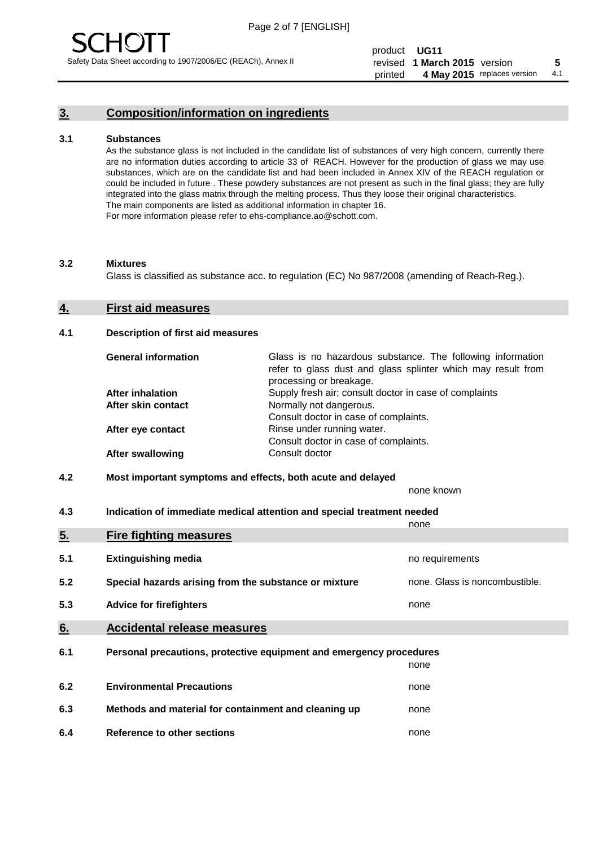

## **3. Composition/information on ingredients**

#### **3.1 Substances**

As the substance glass is not included in the candidate list of substances of very high concern, currently there are no information duties according to article 33 of REACH. However for the production of glass we may use substances, which are on the candidate list and had been included in Annex XIV of the REACH regulation or could be included in future . These powdery substances are not present as such in the final glass; they are fully integrated into the glass matrix through the melting process. Thus they loose their original characteristics. The main components are listed as additional information in chapter 16. For more information please refer to ehs-compliance.ao@schott.com.

#### **3.2 Mixtures**

Glass is classified as substance acc. to regulation (EC) No 987/2008 (amending of Reach-Reg.).

#### **4. First aid measures**

#### **4.1 Description of first aid measures**

| <b>General information</b> | Glass is no hazardous substance. The following information<br>refer to glass dust and glass splinter which may result from<br>processing or breakage. |  |  |
|----------------------------|-------------------------------------------------------------------------------------------------------------------------------------------------------|--|--|
| <b>After inhalation</b>    | Supply fresh air; consult doctor in case of complaints                                                                                                |  |  |
| After skin contact         | Normally not dangerous.                                                                                                                               |  |  |
|                            | Consult doctor in case of complaints.                                                                                                                 |  |  |
| After eye contact          | Rinse under running water.                                                                                                                            |  |  |
|                            | Consult doctor in case of complaints.                                                                                                                 |  |  |
| <b>After swallowing</b>    | Consult doctor                                                                                                                                        |  |  |

#### **4.2 Most important symptoms and effects, both acute and delayed**

none known

**4.3 Indication of immediate medical attention and special treatment needed** 

|     |                                                                     | none                           |
|-----|---------------------------------------------------------------------|--------------------------------|
| 5.  | <b>Fire fighting measures</b>                                       |                                |
| 5.1 | <b>Extinguishing media</b>                                          | no requirements                |
| 5.2 | Special hazards arising from the substance or mixture               | none. Glass is noncombustible. |
| 5.3 | <b>Advice for firefighters</b>                                      | none                           |
| 6.  | <b>Accidental release measures</b>                                  |                                |
| 6.1 | Personal precautions, protective equipment and emergency procedures |                                |
|     |                                                                     | none                           |
| 6.2 | <b>Environmental Precautions</b>                                    | none                           |
| 6.3 | Methods and material for containment and cleaning up                | none                           |
| 6.4 | Reference to other sections                                         | none                           |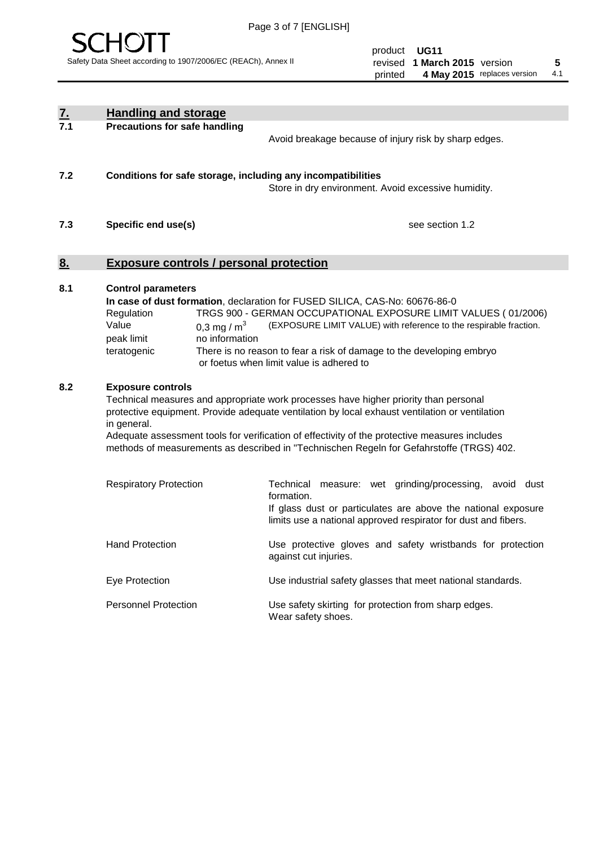

|                                                                                                                                                                                                                                                                                                                                                                                                                                       | <b>Handling and storage</b>                                                                                      |                                                                                                                                                                                                                                                                                                                                         |
|---------------------------------------------------------------------------------------------------------------------------------------------------------------------------------------------------------------------------------------------------------------------------------------------------------------------------------------------------------------------------------------------------------------------------------------|------------------------------------------------------------------------------------------------------------------|-----------------------------------------------------------------------------------------------------------------------------------------------------------------------------------------------------------------------------------------------------------------------------------------------------------------------------------------|
| $\frac{7}{7.1}$                                                                                                                                                                                                                                                                                                                                                                                                                       | <b>Precautions for safe handling</b>                                                                             |                                                                                                                                                                                                                                                                                                                                         |
|                                                                                                                                                                                                                                                                                                                                                                                                                                       |                                                                                                                  | Avoid breakage because of injury risk by sharp edges.                                                                                                                                                                                                                                                                                   |
| 7.2                                                                                                                                                                                                                                                                                                                                                                                                                                   | Conditions for safe storage, including any incompatibilities                                                     | Store in dry environment. Avoid excessive humidity.                                                                                                                                                                                                                                                                                     |
| 7.3                                                                                                                                                                                                                                                                                                                                                                                                                                   | Specific end use(s)                                                                                              | see section 1.2                                                                                                                                                                                                                                                                                                                         |
| 8.                                                                                                                                                                                                                                                                                                                                                                                                                                    | <b>Exposure controls / personal protection</b>                                                                   |                                                                                                                                                                                                                                                                                                                                         |
| 8.1                                                                                                                                                                                                                                                                                                                                                                                                                                   | <b>Control parameters</b><br>Regulation<br>Value<br>0,3 mg / $m3$<br>peak limit<br>no information<br>teratogenic | In case of dust formation, declaration for FUSED SILICA, CAS-No: 60676-86-0<br>TRGS 900 - GERMAN OCCUPATIONAL EXPOSURE LIMIT VALUES ( 01/2006)<br>(EXPOSURE LIMIT VALUE) with reference to the respirable fraction.<br>There is no reason to fear a risk of damage to the developing embryo<br>or foetus when limit value is adhered to |
| 8.2<br><b>Exposure controls</b><br>Technical measures and appropriate work processes have higher priority than personal<br>protective equipment. Provide adequate ventilation by local exhaust ventilation or ventilation<br>in general.<br>Adequate assessment tools for verification of effectivity of the protective measures includes<br>methods of measurements as described in "Technischen Regeln for Gefahrstoffe (TRGS) 402. |                                                                                                                  | Technical measure: wet grinding/processing, avoid dust                                                                                                                                                                                                                                                                                  |
|                                                                                                                                                                                                                                                                                                                                                                                                                                       | <b>Respiratory Protection</b>                                                                                    | formation.<br>If glass dust or particulates are above the national exposure<br>limits use a national approved respirator for dust and fibers.                                                                                                                                                                                           |
|                                                                                                                                                                                                                                                                                                                                                                                                                                       | <b>Hand Protection</b>                                                                                           | Use protective gloves and safety wristbands for protection<br>against cut injuries.                                                                                                                                                                                                                                                     |
|                                                                                                                                                                                                                                                                                                                                                                                                                                       | Eye Protection                                                                                                   | Use industrial safety glasses that meet national standards.                                                                                                                                                                                                                                                                             |
|                                                                                                                                                                                                                                                                                                                                                                                                                                       | <b>Personnel Protection</b>                                                                                      | Use safety skirting for protection from sharp edges.<br>Wear safety shoes.                                                                                                                                                                                                                                                              |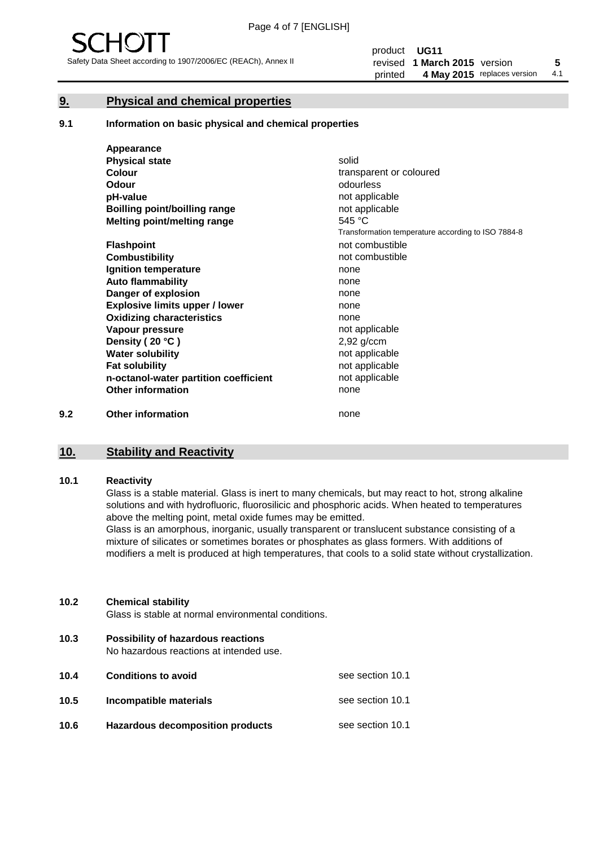

## **9. Physical and chemical properties**

#### **9.1 Information on basic physical and chemical properties**

|     | Appearance                            |                                                    |
|-----|---------------------------------------|----------------------------------------------------|
|     | <b>Physical state</b>                 | solid                                              |
|     | <b>Colour</b>                         | transparent or coloured                            |
|     | Odour                                 | odourless                                          |
|     | pH-value                              | not applicable                                     |
|     | <b>Boilling point/boilling range</b>  | not applicable                                     |
|     | Melting point/melting range           | 545 °C                                             |
|     |                                       | Transformation temperature according to ISO 7884-8 |
|     | <b>Flashpoint</b>                     | not combustible                                    |
|     | <b>Combustibility</b>                 | not combustible                                    |
|     | Ignition temperature                  | none                                               |
|     | <b>Auto flammability</b>              | none                                               |
|     | Danger of explosion                   | none                                               |
|     | <b>Explosive limits upper / lower</b> | none                                               |
|     | <b>Oxidizing characteristics</b>      | none                                               |
|     | Vapour pressure                       | not applicable                                     |
|     | Density (20 °C)                       | $2,92$ g/ccm                                       |
|     | <b>Water solubility</b>               | not applicable                                     |
|     | <b>Fat solubility</b>                 | not applicable                                     |
|     | n-octanol-water partition coefficient | not applicable                                     |
|     | <b>Other information</b>              | none                                               |
| 9.2 | <b>Other information</b>              | none                                               |

## **10. Stability and Reactivity**

#### **10.1 Reactivity**

Glass is a stable material. Glass is inert to many chemicals, but may react to hot, strong alkaline solutions and with hydrofluoric, fluorosilicic and phosphoric acids. When heated to temperatures above the melting point, metal oxide fumes may be emitted.

Glass is an amorphous, inorganic, usually transparent or translucent substance consisting of a mixture of silicates or sometimes borates or phosphates as glass formers. With additions of modifiers a melt is produced at high temperatures, that cools to a solid state without crystallization.

#### **10.2 Chemical stability**

Glass is stable at normal environmental conditions.

**10.3 Possibility of hazardous reactions** 

No hazardous reactions at intended use.

| 10.4 | <b>Conditions to avoid</b>       | see section 10.1 |
|------|----------------------------------|------------------|
| 10.5 | Incompatible materials           | see section 10.1 |
| 10.6 | Hazardous decomposition products | see section 10.1 |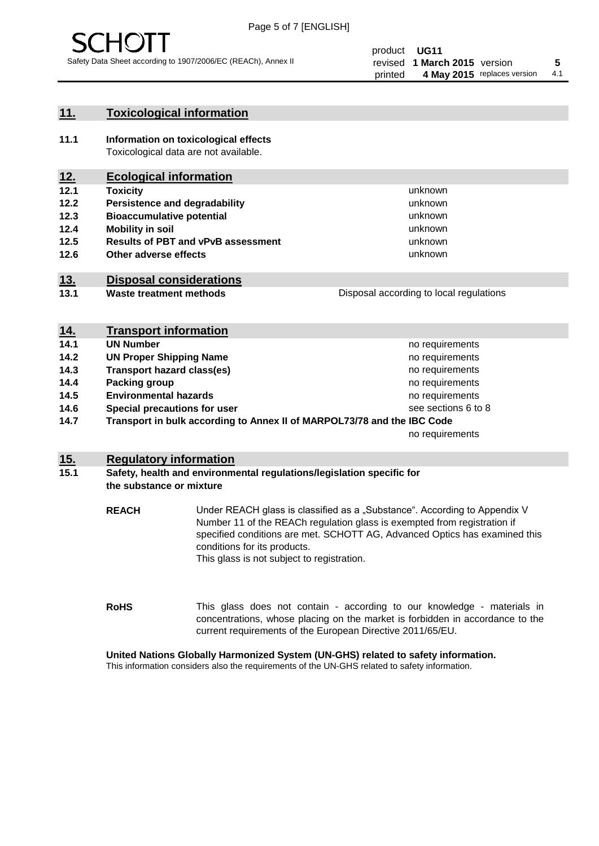

unknown unknown unknown unknown

unknown unknown

Disposal according to local regulations

## **11. Toxicological information**

**11.1 Information on toxicological effects** Toxicological data are not available.

## **12. Ecological information**

- **12.1 Toxicity**
- **12.2 Persistence and degradability**
- **12.3 Bioaccumulative potential**
- **12.4 Mobility in soil**
- **12.5 Results of PBT and vPvB assessment**
- **12.6 Other adverse effects**

## **13. Disposal considerations**

**13.1 Waste treatment methods**

| <u>14.</u> | <b>Transport information</b>                                            |                     |
|------------|-------------------------------------------------------------------------|---------------------|
| 14.1       | <b>UN Number</b>                                                        | no requirements     |
| 14.2       | <b>UN Proper Shipping Name</b>                                          | no requirements     |
| 14.3       | <b>Transport hazard class(es)</b>                                       | no requirements     |
| 14.4       | Packing group                                                           | no requirements     |
| 14.5       | <b>Environmental hazards</b>                                            | no requirements     |
| 14.6       | Special precautions for user                                            | see sections 6 to 8 |
| 14.7       | Transport in bulk according to Annex II of MARPOL73/78 and the IBC Code |                     |
|            |                                                                         | no requirements     |

## **15. Regulatory information**

### **15.1 Safety, health and environmental regulations/legislation specific for the substance or mixture**

**REACH** Under REACH glass is classified as a "Substance". According to Appendix V Number 11 of the REACh regulation glass is exempted from registration if specified conditions are met. SCHOTT AG, Advanced Optics has examined this conditions for its products. This glass is not subject to registration.

**RoHS** This glass does not contain - according to our knowledge - materials in concentrations, whose placing on the market is forbidden in accordance to the current requirements of the European Directive 2011/65/EU.

## **United Nations Globally Harmonized System (UN-GHS) related to safety information.**

This information considers also the requirements of the UN-GHS related to safety information.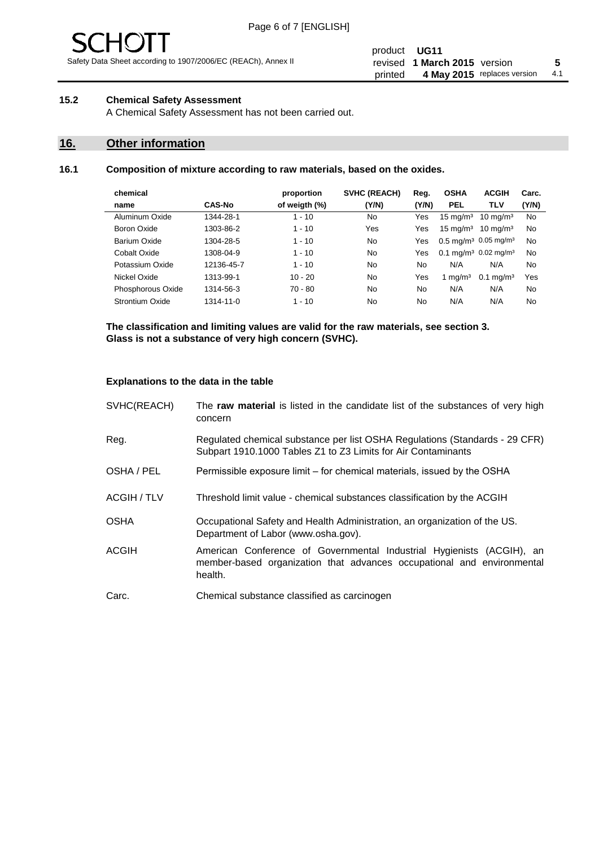

Safety Data Sheet according to 1907/2006/EC (REACh), Annex II

## **15.2 Chemical Safety Assessment**

A Chemical Safety Assessment has not been carried out.

## **16. Other information**

## **16.1 Composition of mixture according to raw materials, based on the oxides.**

| chemical          |               | proportion    | <b>SVHC (REACH)</b> | Reg.  | <b>OSHA</b>                                  | <b>ACGIH</b>         | Carc. |
|-------------------|---------------|---------------|---------------------|-------|----------------------------------------------|----------------------|-------|
| name              | <b>CAS-No</b> | of weigth (%) | (Y/N)               | (Y/N) | <b>PEL</b>                                   | <b>TLV</b>           | (Y/N) |
| Aluminum Oxide    | 1344-28-1     | $1 - 10$      | No                  | Yes   | $15 \text{ mg/m}^3$                          | $10 \text{ mg/m}^3$  | No    |
| Boron Oxide       | 1303-86-2     | $1 - 10$      | Yes                 | Yes   | $15 \text{ mg/m}^3$                          | $10 \text{ mg/m}^3$  | No    |
| Barium Oxide      | 1304-28-5     | $1 - 10$      | No                  | Yes   | $0.5 \text{ mg/m}^3$ 0.05 mg/m <sup>3</sup>  |                      | No    |
| Cobalt Oxide      | 1308-04-9     | $1 - 10$      | No                  | Yes   | 0.1 mg/m <sup>3</sup> 0.02 mg/m <sup>3</sup> |                      | No    |
| Potassium Oxide   | 12136-45-7    | $1 - 10$      | No                  | No    | N/A                                          | N/A                  | No    |
| Nickel Oxide      | 1313-99-1     | $10 - 20$     | No                  | Yes   | 1 mg/m $3$                                   | $0.1 \text{ mg/m}^3$ | Yes   |
| Phosphorous Oxide | 1314-56-3     | $70 - 80$     | No                  | No    | N/A                                          | N/A                  | No    |
| Strontium Oxide   | 1314-11-0     | $1 - 10$      | No                  | No    | N/A                                          | N/A                  | No    |
|                   |               |               |                     |       |                                              |                      |       |

**The classification and limiting values are valid for the raw materials, see section 3. Glass is not a substance of very high concern (SVHC).**

#### **Explanations to the data in the table**

| SVHC(REACH)        | The raw material is listed in the candidate list of the substances of very high<br>concern                                                                 |
|--------------------|------------------------------------------------------------------------------------------------------------------------------------------------------------|
| Reg.               | Regulated chemical substance per list OSHA Regulations (Standards - 29 CFR)<br>Subpart 1910.1000 Tables Z1 to Z3 Limits for Air Contaminants               |
| OSHA / PEL         | Permissible exposure limit – for chemical materials, issued by the OSHA                                                                                    |
| <b>ACGIH / TLV</b> | Threshold limit value - chemical substances classification by the ACGIH                                                                                    |
| <b>OSHA</b>        | Occupational Safety and Health Administration, an organization of the US.<br>Department of Labor (www.osha.gov).                                           |
| ACGIH              | American Conference of Governmental Industrial Hygienists (ACGIH), an<br>member-based organization that advances occupational and environmental<br>health. |
| Carc.              | Chemical substance classified as carcinogen                                                                                                                |